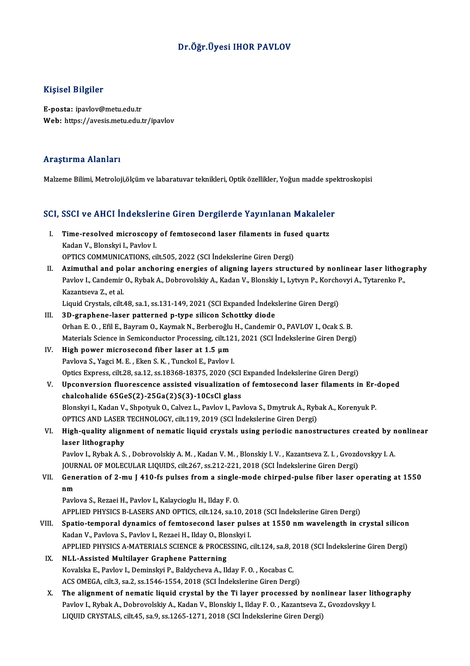### Dr.Öğr.Üyesi IHOR PAVLOV

### Kişisel Bilgiler

E-posta: ipavlov@metu.edu.tr Web: https://avesis.metu.edu.tr/ipavlov

### Araştırma Alanları

Malzeme Bilimi, Metroloji,ölçüm ve labaratuvar teknikleri, Optik özellikler, Yoğun madde spektroskopisi

# маїгете вішпі, мейоюјі,оїçит ve навагацімаг цекпікіегі, орик озенікіег, товип тайце spe<br>SCI, SSCI ve AHCI İndekslerine Giren Dergilerde Yayınlanan Makaleler

- CI, SSCI ve AHCI İndekslerine Giren Dergilerde Yayınlanan Makalele<br>I. Time-resolved microscopy of femtosecond laser filaments in fused quartz<br>Kadan V. Blanskyi L. Baylov L **EBOLY VE TITOT THEORETOR**<br>Time-resolved microscopy<br>Kadan V., Blonskyi I., Pavlov I.<br>OPTICS COMMUNICATIONS Time-resolved microscopy of femtosecond laser filaments in fuse<br>Kadan V., Blonskyi I., Pavlov I.<br>OPTICS COMMUNICATIONS, cilt.505, 2022 (SCI İndekslerine Giren Dergi)<br>Azimuthal and palar angharing anargias of aligning layar Kadan V., Blonskyi I., Pavlov I.<br>OPTICS COMMUNICATIONS, cilt.505, 2022 (SCI İndekslerine Giren Dergi)<br>II. Azimuthal and polar anchoring energies of aligning layers structured by nonlinear laser lithography
- OPTICS COMMUNICATIONS, cilt.505, 2022 (SCI İndekslerine Giren Dergi)<br>Azimuthal and polar anchoring energies of aligning layers structured by nonlinear laser lithog<br>Pavlov I., Candemir O., Rybak A., Dobrovolskiy A., Kadan V Azimuthal and po<br>Pavlov I., Candemir<br>Kazantseva Z., et al.<br>Liquid Curatale silt Pavlov I., Candemir O., Rybak A., Dobrovolskiy A., Kadan V., Blonskiy I., Lytvyn P., Korcho<br>Kazantseva Z., et al.<br>Liquid Crystals, cilt.48, sa.1, ss.131-149, 2021 (SCI Expanded İndekslerine Giren Dergi)<br>2D. svanbana, İssan Kazantseva Z., et al.<br>Liquid Crystals, cilt.48, sa.1, ss.131-149, 2021 (SCI Expanded Indekslerine Giren Dergi)<br>III. 3D-graphene-laser patterned p-type silicon Schottky diode

- Orhan E. O., Efil E., Bayram O., Kaymak N., Berberoğlu H., Candemir O., PAVLOV I., Ocak S. B. 3D-graphene-laser patterned p-type silicon Schottky diode<br>Orhan E. O. , Efil E., Bayram O., Kaymak N., Berberoğlu H., Candemir O., PAVLOV I., Ocak S. B.<br>Materials Science in Semiconductor Processing, cilt.121, 2021 (SCI İn
- IV. High power microsecond fiber laser at 1.5  $\mu$ m<br>Pavlova S., Yagci M. E., Eken S. K., Tunckol E., Pavlov I. Materials Science in Semiconductor Processing, cilt.12:<br>High power microsecond fiber laser at 1.5 µm<br>Pavlova S., Yagci M. E., Eken S. K., Tunckol E., Pavlov I.<br>Onties Evances, silt.28, ss. 12, ss. 19269, 19275, 2020 (S. Optics Express, cilt.28, sa.12, ss.18368-18375, 2020 (SCI Expanded İndekslerine Giren Dergi) Pavlova S., Yagci M. E. , Eken S. K. , Tunckol E., Pavlov I.<br>Optics Express, cilt.28, sa.12, ss.18368-18375, 2020 (SCI Expanded Indekslerine Giren Dergi)<br>V. Upconversion fluorescence assisted visualization of femtosecond l
- Optics Express, cilt.28, sa.12, ss.18368-18375, 2020 (SCI<br>Upconversion fluorescence assisted visualization<br>chalcohalide 65GeS(2)-25Ga(2)S(3)-10CsCl glass<br>Planskyj, Kodan V, Shnatnuk O, Colvez J, Baylov J, Bay Upconversion fluorescence assisted visualization of femtosecond laser filaments in Erchalcohalide 65GeS(2)-25Ga(2)S(3)-10CsCl glass<br>Blonskyi I., Kadan V., Shpotyuk O., Calvez L., Pavlov I., Pavlova S., Dmytruk A., Rybak A. chalcohalide 65GeS(2)-25Ga(2)S(3)-10CsCl glass<br>Blonskyi I., Kadan V., Shpotyuk O., Calvez L., Pavlov I., Pavlova S., Dmytruk A., Rybak A., Korenyuk P. OPTICS AND LASER TECHNOLOGY, cilt.119, 2019 (SCI İndekslerine Giren Dergi)
- VI. High-quality alignment of nematic liquid crystals using periodic nanostructures created by nonlinear High-quality alignment of nematic liquid crystals using periodic nanostructures created by n<br>laser lithography<br>Pavlov I., Rybak A. S. , Dobrovolskiy A. M. , Kadan V. M. , Blonskiy I. V. , Kazantseva Z. I. , Gvozdovskyy I.A

laser lithography<br>Pavlov I., Rybak A. S. , Dobrovolskiy A. M. , Kadan V. M. , Blonskiy I. V. , Kazantseva Z. I. , Gvozd<br>JOURNAL OF MOLECULAR LIQUIDS, cilt.267, ss.212-221, 2018 (SCI İndekslerine Giren Dergi)<br>Conoration of JOURNAL OF MOLECULAR LIQUIDS, cilt.267, ss.212-221, 2018 (SCI Indekslerine Giren Dergi)

VII. Generation of 2-mu J 410-fs pulses from a single-mode chirped-pulse fiber laser operating at 1550<br>nm <mark>nm</mark><br>Pavlova S., Rezaei H., Pavlov I., Kalaycioglu H., Ilday F. O.<br>APPLIED PHYSICS B-LASERS AND OPTICS, cilt.124, sa.10, 2018 (SCI İndekslerine Giren Dergi)<br>Spatio, temperal dynamics of femtesesend laser pulses at 1550 pm

Pavlova S., Rezaei H., Pavlov I., Kalaycioglu H., Ilday F. O.

- Pavlova S., Rezaei H., Pavlov I., Kalaycioglu H., Ilday F. O.<br>APPLIED PHYSICS B-LASERS AND OPTICS, cilt.124, sa.10, 2018 (SCI İndekslerine Giren Dergi)<br>VIII. Spatio-temporal dynamics of femtosecond laser pulses at 1550 nm APPLIED PHYSICS B-LASERS AND OPTICS, cilt.124, sa.10, 20<br>Spatio-temporal dynamics of femtosecond laser puls<br>Kadan V., Pavlova S., Pavlov I., Rezaei H., Ilday O., Blonskyi I.<br>APPLIED PHYSICS A MATERIALS SCIENCE & PROCESSING Spatio-temporal dynamics of femtosecond laser pulses at 1550 nm wavelength in crystal silicon<br>Kadan V., Pavlova S., Pavlov I., Rezaei H., Ilday O., Blonskyi I. APPLIED PHYSICS A-MATERIALS SCIENCE & PROCESSING, cilt.124, sa.8, 2018 (SCI Indekslerine Giren Dergi)
- IX. NLL-Assisted Multilayer Graphene Patterning<br>Kovalska E., Pavlov I., Deminskyi P., Baldycheva A., Ilday F. O., Kocabas C. ACS OMEGA, cilt.3, sa.2, ss.1546-1554, 2018 (SCI İndekslerine Giren Dergi)
- X. The alignment of nematic liquid crystal by the Ti layer processed by nonlinear laser lithography ACS OMEGA, cilt.3, sa.2, ss.1546-1554, 2018 (SCI İndekslerine Giren Dergi)<br>The alignment of nematic liquid crystal by the Ti layer processed by nonlinear laser lit<br>Pavlov I., Rybak A., Dobrovolskiy A., Kadan V., Blonskiy I The alignment of nematic liquid crystal by the Ti layer processed by non<br>Pavlov I., Rybak A., Dobrovolskiy A., Kadan V., Blonskiy I., Ilday F. O. , Kazantseva Z.<br>LIQUID CRYSTALS, cilt.45, sa.9, ss.1265-1271, 2018 (SCI İnde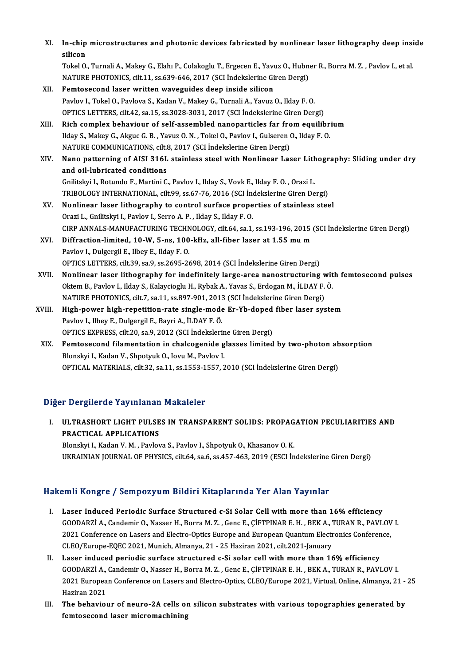| XI.    | In-chip microstructures and photonic devices fabricated by nonlinear laser lithography deep inside                      |
|--------|-------------------------------------------------------------------------------------------------------------------------|
|        | silicon                                                                                                                 |
|        | Tokel O., Turnali A., Makey G., Elahı P., Colakoglu T., Ergecen E., Yavuz O., Hubner R., Borra M. Z., Pavlov I., et al. |
|        | NATURE PHOTONICS, cilt.11, ss.639-646, 2017 (SCI Indekslerine Giren Dergi)                                              |
| XII.   | Femtosecond laser written waveguides deep inside silicon                                                                |
|        | Pavlov I., Tokel O., Pavlova S., Kadan V., Makey G., Turnali A., Yavuz O., Ilday F. O.                                  |
|        | OPTICS LETTERS, cilt.42, sa.15, ss.3028-3031, 2017 (SCI İndekslerine Giren Dergi)                                       |
| XIII.  | Rich complex behaviour of self-assembled nanoparticles far from equilibrium                                             |
|        | Ilday S., Makey G., Akguc G. B., Yavuz O. N., Tokel O., Pavlov I., Gulseren O., Ilday F. O.                             |
|        | NATURE COMMUNICATIONS, cilt.8, 2017 (SCI İndekslerine Giren Dergi)                                                      |
| XIV.   | Nano patterning of AISI 316L stainless steel with Nonlinear Laser Lithography: Sliding under dry                        |
|        | and oil-lubricated conditions                                                                                           |
|        | Gnilitskyi I., Rotundo F., Martini C., Pavlov I., Ilday S., Vovk E., Ilday F. O., Orazi L.                              |
|        | TRIBOLOGY INTERNATIONAL, cilt.99, ss.67-76, 2016 (SCI İndekslerine Giren Dergi)                                         |
| XV.    | Nonlinear laser lithography to control surface properties of stainless steel                                            |
|        | Orazi L., Gnilitskyi I., Pavlov I., Serro A. P., Ilday S., Ilday F. O.                                                  |
|        | CIRP ANNALS-MANUFACTURING TECHNOLOGY, cilt.64, sa.1, ss.193-196, 2015 (SCI İndekslerine Giren Dergi)                    |
| XVI.   | Diffraction-limited, 10-W, 5-ns, 100-kHz, all-fiber laser at 1.55 mu m                                                  |
|        | Pavlov I., Dulgergil E., Ilbey E., Ilday F.O.                                                                           |
|        | OPTICS LETTERS, cilt.39, sa.9, ss.2695-2698, 2014 (SCI İndekslerine Giren Dergi)                                        |
| XVII.  | Nonlinear laser lithography for indefinitely large-area nanostructuring with femtosecond pulses                         |
|        | Oktem B., Pavlov I., Ilday S., Kalaycioglu H., Rybak A., Yavas S., Erdogan M., İLDAY F. Ö.                              |
|        | NATURE PHOTONICS, cilt.7, sa.11, ss.897-901, 2013 (SCI İndekslerine Giren Dergi)                                        |
| XVIII. | High-power high-repetition-rate single-mode Er-Yb-doped fiber laser system                                              |
|        | Pavlov I., Ilbey E., Dulgergil E., Bayri A., İLDAY F. Ö.                                                                |
|        | OPTICS EXPRESS, cilt.20, sa.9, 2012 (SCI Indekslerine Giren Dergi)                                                      |
| XIX.   | Femtosecond filamentation in chalcogenide glasses limited by two-photon absorption                                      |
|        | Blonskyi I., Kadan V., Shpotyuk O., Iovu M., Pavlov I.                                                                  |
|        | OPTICAL MATERIALS, cilt.32, sa.11, ss.1553-1557, 2010 (SCI Indekslerine Giren Dergi)                                    |

## Diğer Dergilerde Yayınlanan Makaleler

Iğer Dergilerde Yayınlanan Makaleler<br>I. ULTRASHORT LIGHT PULSES IN TRANSPARENT SOLIDS: PROPAGATION PECULIARITIES AND PRACTICAL APPLICATIONS<br>PRACTICAL APPLICATIONS<br>Plansky L Kedan V, M., Baylov PRACTICAL APPLICATIONS<br>Blonskyi I., Kadan V. M. , Pavlova S., Pavlov I., Shpotyuk O., Khasanov O. K.

UKRAINIAN JOURNAL OF PHYSICS, cilt.64, sa.6, ss.457-463, 2019 (ESCI İndekslerine Giren Dergi)

# Hakemli Kongre / Sempozyum Bildiri Kitaplarında Yer Alan Yayınlar

- I. Laser Induced Periodic Surface Structured c-Si Solar Cell with more than 16% efficiency GOODARZİ A., Candemir O., Nasser H., Borra M. Z., Genc E., ÇİFTPINAR E. H., BEK A., TURAN R., PAVLOV I.<br>GOODARZİ A., Candemir O., Nasser H., Borra M. Z., Genc E., ÇİFTPINAR E. H., BEK A., TURAN R., PAVLOV I.<br>2021 Canfaranc Laser Induced Periodic Surface Structured c-Si Solar Cell with more than 16% efficiency<br>GOODARZİ A., Candemir O., Nasser H., Borra M. Z., Genc E., ÇİFTPINAR E. H., BEK A., TURAN R., PAVLOV<br>2021 Conference on Lasers and Ele GOODARZİ A., Candemir O., Nasser H., Borra M. Z. , Genc E., ÇİFTPINAR E. H. , BEK A., 7<br>2021 Conference on Lasers and Electro-Optics Europe and European Quantum Electr<br>CLEO/Europe-EQEC 2021, Munich, Almanya, 21 - 25 Hazira 2021 Conference on Lasers and Electro-Optics Europe and European Quantum Electronics Conference,<br>CLEO/Europe-EQEC 2021, Munich, Almanya, 21 - 25 Haziran 2021, cilt.2021-January<br>II. Laser induced periodic surface structured
- CLEO/Europe-EQEC 2021, Munich, Almanya, 21 25 Haziran 2021, cilt.2021-January<br>Laser induced periodic surface structured c-Si solar cell with more than 16% efficiency<br>GOODARZİ A., Candemir O., Nasser H., Borra M. Z. , Gen 2021 European Conference on Lasers and Electro-Optics, CLEO/Europe 2021, Virtual, Online, Almanya, 21 - 25<br>Haziran 2021 GOODARZI A.,<br>2021 Europea<br>Haziran 2021<br>The behevier 2021 European Conference on Lasers and Electro-Optics, CLEO/Europe 2021, Virtual, Online, Almanya, 21 -<br>Haziran 2021<br>III. The behaviour of neuro-2A cells on silicon substrates with various topographies generated by<br>fontoso
- Haziran 2021<br>The behaviour of neuro-2A cells oı<br>femtosecond laser micromachining